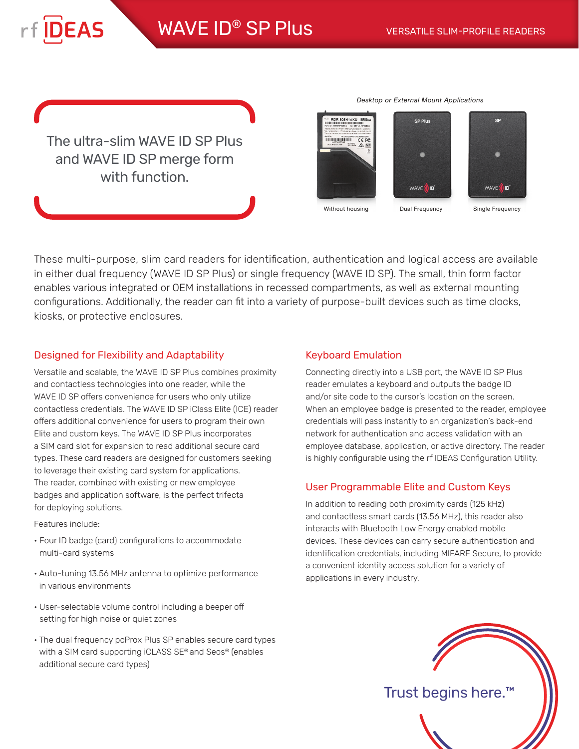The ultra-slim WAVE ID SP Plus and WAVE ID SP merge form with function.

**IDEAS** 

*Desktop or External Mount Applications*



Without housing **Dual Frequency** 

Single Frequency

These multi-purpose, slim card readers for identification, authentication and logical access are available in either dual frequency (WAVE ID SP Plus) or single frequency (WAVE ID SP). The small, thin form factor enables various integrated or OEM installations in recessed compartments, as well as external mounting configurations. Additionally, the reader can fit into a variety of purpose-built devices such as time clocks, kiosks, or protective enclosures.

## Designed for Flexibility and Adaptability

Versatile and scalable, the WAVE ID SP Plus combines proximity and contactless technologies into one reader, while the WAVE ID SP offers convenience for users who only utilize contactless credentials. The WAVE ID SP iClass Elite (ICE) reader offers additional convenience for users to program their own Elite and custom keys. The WAVE ID SP Plus incorporates a SIM card slot for expansion to read additional secure card types. These card readers are designed for customers seeking to leverage their existing card system for applications. The reader, combined with existing or new employee badges and application software, is the perfect trifecta for deploying solutions.

Features include:

- Four ID badge (card) configurations to accommodate multi-card systems
- Auto-tuning 13.56 MHz antenna to optimize performance in various environments
- User-selectable volume control including a beeper off setting for high noise or quiet zones
- The dual frequency pcProx Plus SP enables secure card types with a SIM card supporting iCLASS SE® and Seos® (enables additional secure card types)

## Keyboard Emulation

Connecting directly into a USB port, the WAVE ID SP Plus reader emulates a keyboard and outputs the badge ID and/or site code to the cursor's location on the screen. When an employee badge is presented to the reader, employee credentials will pass instantly to an organization's back-end network for authentication and access validation with an employee database, application, or active directory. The reader is highly configurable using the rf IDEAS Configuration Utility.

# User Programmable Elite and Custom Keys

In addition to reading both proximity cards (125 kHz) and contactless smart cards (13.56 MHz), this reader also interacts with Bluetooth Low Energy enabled mobile devices. These devices can carry secure authentication and identification credentials, including MIFARE Secure, to provide a convenient identity access solution for a variety of applications in every industry.



Trust begins here.™